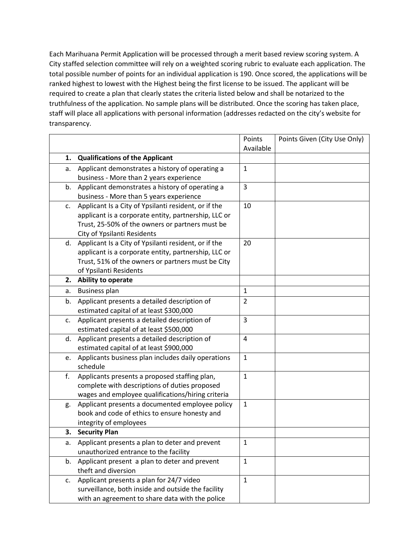Each Marihuana Permit Application will be processed through a merit based review scoring system. A City staffed selection committee will rely on a weighted scoring rubric to evaluate each application. The total possible number of points for an individual application is 190. Once scored, the applications will be ranked highest to lowest with the Highest being the first license to be issued. The applicant will be required to create a plan that clearly states the criteria listed below and shall be notarized to the truthfulness of the application. No sample plans will be distributed. Once the scoring has taken place, staff will place all applications with personal information (addresses redacted on the city's website for transparency.

|                |                                                      | Points<br>Available | Points Given (City Use Only) |
|----------------|------------------------------------------------------|---------------------|------------------------------|
| 1.             | <b>Qualifications of the Applicant</b>               |                     |                              |
| a.             | Applicant demonstrates a history of operating a      | $\mathbf{1}$        |                              |
|                | business - More than 2 years experience              |                     |                              |
| b.             | Applicant demonstrates a history of operating a      | 3                   |                              |
|                | business - More than 5 years experience              |                     |                              |
| $\mathsf{C}$ . | Applicant Is a City of Ypsilanti resident, or if the | 10                  |                              |
|                | applicant is a corporate entity, partnership, LLC or |                     |                              |
|                | Trust, 25-50% of the owners or partners must be      |                     |                              |
|                | <b>City of Ypsilanti Residents</b>                   |                     |                              |
| d.             | Applicant Is a City of Ypsilanti resident, or if the | 20                  |                              |
|                | applicant is a corporate entity, partnership, LLC or |                     |                              |
|                | Trust, 51% of the owners or partners must be City    |                     |                              |
|                | of Ypsilanti Residents                               |                     |                              |
| 2.             | Ability to operate                                   |                     |                              |
| a.             | <b>Business plan</b>                                 | $\mathbf{1}$        |                              |
| b.             | Applicant presents a detailed description of         | $\overline{2}$      |                              |
|                | estimated capital of at least \$300,000              |                     |                              |
| C.             | Applicant presents a detailed description of         | 3                   |                              |
|                | estimated capital of at least \$500,000              |                     |                              |
| d.             | Applicant presents a detailed description of         | $\overline{4}$      |                              |
|                | estimated capital of at least \$900,000              |                     |                              |
| e.             | Applicants business plan includes daily operations   | $\mathbf{1}$        |                              |
|                | schedule                                             |                     |                              |
| f.             | Applicants presents a proposed staffing plan,        | $\mathbf{1}$        |                              |
|                | complete with descriptions of duties proposed        |                     |                              |
|                | wages and employee qualifications/hiring criteria    |                     |                              |
| g.             | Applicant presents a documented employee policy      | $\mathbf{1}$        |                              |
|                | book and code of ethics to ensure honesty and        |                     |                              |
|                | integrity of employees                               |                     |                              |
| 3.             | <b>Security Plan</b>                                 |                     |                              |
| a.             | Applicant presents a plan to deter and prevent       | 1                   |                              |
|                | unauthorized entrance to the facility                |                     |                              |
| b.             | Applicant present a plan to deter and prevent        | $\mathbf{1}$        |                              |
|                | theft and diversion                                  |                     |                              |
| c.             | Applicant presents a plan for 24/7 video             | $\mathbf 1$         |                              |
|                | surveillance, both inside and outside the facility   |                     |                              |
|                | with an agreement to share data with the police      |                     |                              |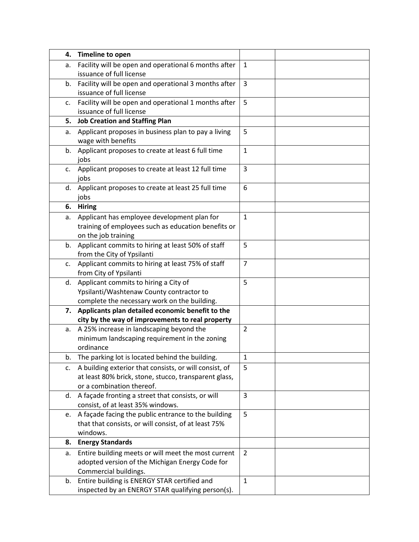| 4. | Timeline to open                                                                   |                |  |
|----|------------------------------------------------------------------------------------|----------------|--|
| а. | Facility will be open and operational 6 months after                               | $\mathbf{1}$   |  |
|    | issuance of full license                                                           |                |  |
| b. | Facility will be open and operational 3 months after                               | 3              |  |
|    | issuance of full license                                                           |                |  |
| c. | Facility will be open and operational 1 months after                               | 5              |  |
|    | issuance of full license                                                           |                |  |
| 5. | <b>Job Creation and Staffing Plan</b>                                              |                |  |
| а. | Applicant proposes in business plan to pay a living<br>wage with benefits          | 5              |  |
| b. | Applicant proposes to create at least 6 full time<br>jobs                          | $\mathbf{1}$   |  |
| c. | Applicant proposes to create at least 12 full time<br>jobs                         | 3              |  |
| d. | Applicant proposes to create at least 25 full time<br>jobs                         | 6              |  |
| 6. | <b>Hiring</b>                                                                      |                |  |
| a. | Applicant has employee development plan for                                        | $\mathbf{1}$   |  |
|    | training of employees such as education benefits or<br>on the job training         |                |  |
| b. | Applicant commits to hiring at least 50% of staff                                  | 5              |  |
|    | from the City of Ypsilanti                                                         |                |  |
| c. | Applicant commits to hiring at least 75% of staff                                  | $\overline{7}$ |  |
|    | from City of Ypsilanti                                                             |                |  |
| d. | Applicant commits to hiring a City of                                              | 5              |  |
|    | Ypsilanti/Washtenaw County contractor to                                           |                |  |
|    | complete the necessary work on the building.                                       |                |  |
|    | 7. Applicants plan detailed economic benefit to the                                |                |  |
|    | city by the way of improvements to real property                                   |                |  |
| a. | A 25% increase in landscaping beyond the                                           | $\overline{2}$ |  |
|    | minimum landscaping requirement in the zoning                                      |                |  |
|    | ordinance                                                                          |                |  |
| b. | The parking lot is located behind the building.                                    | $\mathbf 1$    |  |
| c. | A building exterior that consists, or will consist, of                             | 5              |  |
|    | at least 80% brick, stone, stucco, transparent glass,<br>or a combination thereof. |                |  |
| d. | A façade fronting a street that consists, or will                                  | 3              |  |
|    | consist, of at least 35% windows.                                                  |                |  |
| e. | A façade facing the public entrance to the building                                | 5              |  |
|    | that that consists, or will consist, of at least 75%                               |                |  |
|    | windows.                                                                           |                |  |
| 8. | <b>Energy Standards</b>                                                            |                |  |
| a. | Entire building meets or will meet the most current                                | $\overline{2}$ |  |
|    | adopted version of the Michigan Energy Code for                                    |                |  |
|    | Commercial buildings.                                                              |                |  |
| b. | Entire building is ENERGY STAR certified and                                       | $\mathbf{1}$   |  |
|    | inspected by an ENERGY STAR qualifying person(s).                                  |                |  |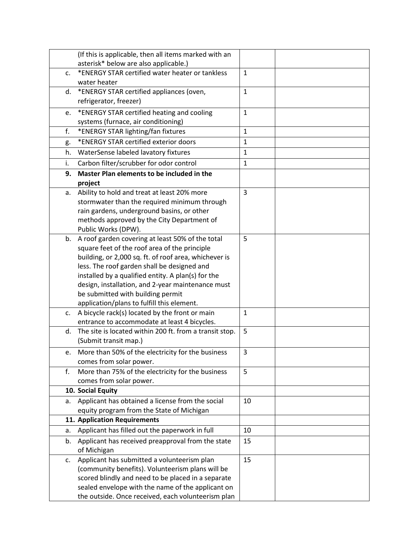|    | (If this is applicable, then all items marked with an   |              |  |
|----|---------------------------------------------------------|--------------|--|
|    | asterisk* below are also applicable.)                   |              |  |
| C. | *ENERGY STAR certified water heater or tankless         | $\mathbf{1}$ |  |
|    | water heater                                            |              |  |
| d. | *ENERGY STAR certified appliances (oven,                | $\mathbf{1}$ |  |
|    | refrigerator, freezer)                                  |              |  |
| e. | *ENERGY STAR certified heating and cooling              | $\mathbf{1}$ |  |
|    | systems (furnace, air conditioning)                     |              |  |
| f. | *ENERGY STAR lighting/fan fixtures                      | $\mathbf{1}$ |  |
| g. | *ENERGY STAR certified exterior doors                   | $\mathbf{1}$ |  |
| h. | WaterSense labeled lavatory fixtures                    | $\mathbf{1}$ |  |
| i. | Carbon filter/scrubber for odor control                 | $\mathbf{1}$ |  |
| 9. | Master Plan elements to be included in the              |              |  |
|    | project                                                 |              |  |
| a. | Ability to hold and treat at least 20% more             | 3            |  |
|    | stormwater than the required minimum through            |              |  |
|    | rain gardens, underground basins, or other              |              |  |
|    | methods approved by the City Department of              |              |  |
|    | Public Works (DPW).                                     |              |  |
| b. | A roof garden covering at least 50% of the total        | 5            |  |
|    | square feet of the roof area of the principle           |              |  |
|    | building, or 2,000 sq. ft. of roof area, whichever is   |              |  |
|    | less. The roof garden shall be designed and             |              |  |
|    | installed by a qualified entity. A plan(s) for the      |              |  |
|    | design, installation, and 2-year maintenance must       |              |  |
|    | be submitted with building permit                       |              |  |
|    | application/plans to fulfill this element.              |              |  |
| c. | A bicycle rack(s) located by the front or main          | $\mathbf{1}$ |  |
|    | entrance to accommodate at least 4 bicycles.            |              |  |
| d. | The site is located within 200 ft. from a transit stop. | 5            |  |
|    | (Submit transit map.)                                   |              |  |
| e. | More than 50% of the electricity for the business       | 3            |  |
|    | comes from solar power.                                 |              |  |
| f. | More than 75% of the electricity for the business       | 5            |  |
|    | comes from solar power.                                 |              |  |
|    | 10. Social Equity                                       |              |  |
| a. | Applicant has obtained a license from the social        | 10           |  |
|    | equity program from the State of Michigan               |              |  |
|    | 11. Application Requirements                            |              |  |
| a. | Applicant has filled out the paperwork in full          | 10           |  |
| b. | Applicant has received preapproval from the state       | 15           |  |
|    | of Michigan                                             |              |  |
| c. | Applicant has submitted a volunteerism plan             | 15           |  |
|    | (community benefits). Volunteerism plans will be        |              |  |
|    | scored blindly and need to be placed in a separate      |              |  |
|    | sealed envelope with the name of the applicant on       |              |  |
|    | the outside. Once received, each volunteerism plan      |              |  |